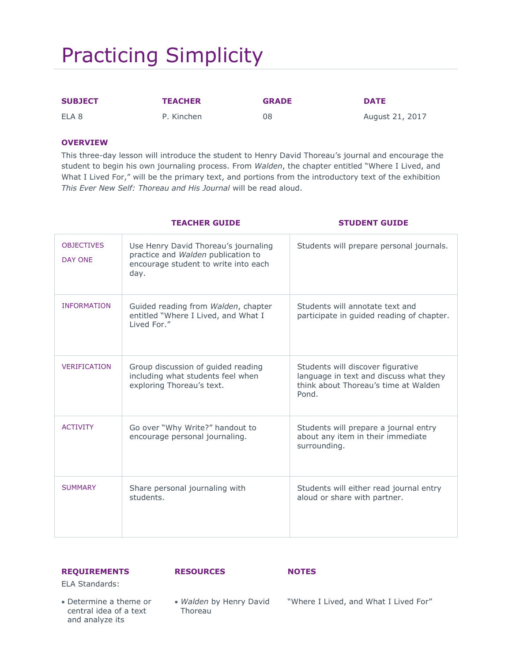# Practicing Simplicity

| <b>SUBJECT</b> | <b>TEACHER</b> | <b>GRADE</b> | <b>DATE</b>     |
|----------------|----------------|--------------|-----------------|
| ELA 8          | P. Kinchen     | 08           | August 21, 2017 |

### **OVERVIEW**

This three-day lesson will introduce the student to Henry David Thoreau's journal and encourage the student to begin his own journaling process. From *Walden*, the chapter entitled "Where I Lived, and What I Lived For," will be the primary text, and portions from the introductory text of the exhibition *This Ever New Self: Thoreau and His Journal* will be read aloud.

|                                     | <b>TEACHER GUIDE</b>                                                                                                       | <b>STUDENT GUIDE</b>                                                                                                         |
|-------------------------------------|----------------------------------------------------------------------------------------------------------------------------|------------------------------------------------------------------------------------------------------------------------------|
| <b>OBJECTIVES</b><br><b>DAY ONE</b> | Use Henry David Thoreau's journaling<br>practice and Walden publication to<br>encourage student to write into each<br>day. | Students will prepare personal journals.                                                                                     |
| <b>INFORMATION</b>                  | Guided reading from Walden, chapter<br>entitled "Where I Lived, and What I<br>Lived For."                                  | Students will annotate text and<br>participate in guided reading of chapter.                                                 |
| <b>VERIFICATION</b>                 | Group discussion of guided reading<br>including what students feel when<br>exploring Thoreau's text.                       | Students will discover figurative<br>language in text and discuss what they<br>think about Thoreau's time at Walden<br>Pond. |
| <b>ACTIVITY</b>                     | Go over "Why Write?" handout to<br>encourage personal journaling.                                                          | Students will prepare a journal entry<br>about any item in their immediate<br>surrounding.                                   |
| <b>SUMMARY</b>                      | Share personal journaling with<br>students.                                                                                | Students will either read journal entry<br>aloud or share with partner.                                                      |

#### **REQUIREMENTS**

#### **RESOURCES NOTES**

ELA Standards:

- Determine a theme or central idea of a text and analyze its
- *Walden* by Henry David Thoreau "Where I Lived, and What I Lived For"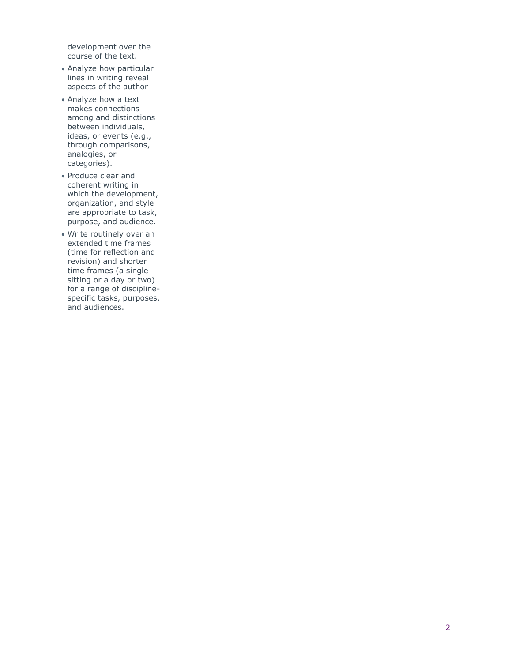development over the course of the text.

- Analyze how particular lines in writing reveal aspects of the author
- Analyze how a text makes connections among and distinctions between individuals, ideas, or events (e.g., through comparisons, analogies, or categories).
- Produce clear and coherent writing in which t he development, organization, and style are appropriate to task, purpose, and audience.
- Write routinely over an extended time frames (time for reflection and revision) and shorter time frames (a single sitting or a day or two) for a range of discipline specific tasks, purposes, and audiences.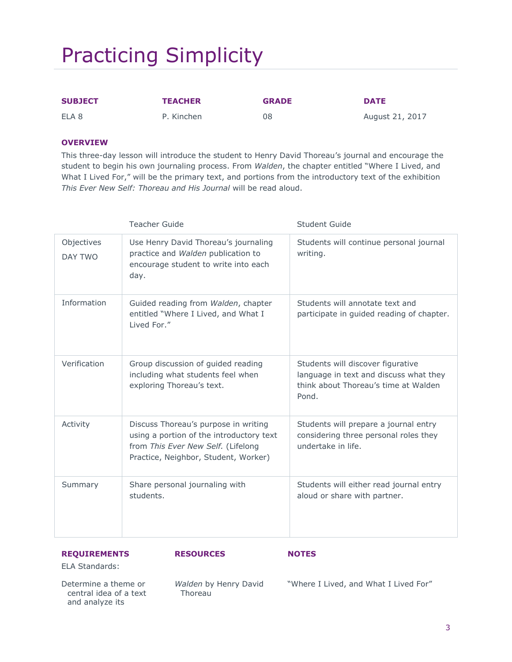# Practicing Simplicity

| <b>SUBJECT</b> | <b>TEACHER</b> | <b>GRADE</b> | <b>DATE</b>     |
|----------------|----------------|--------------|-----------------|
| ELA 8          | P. Kinchen     | 08           | August 21, 2017 |

#### **OVERVIEW**

This three-day lesson will introduce the student to Henry David Thoreau's journal and encourage the student to begin his own journaling process. From *Walden*, the chapter entitled "Where I Lived, and What I Lived For," will be the primary text, and portions from the introductory text of the exhibition *This Ever New Self: Thoreau and His Journal* will be read aloud.

|                       | <b>Teacher Guide</b>                                                                                                                                           | Student Guide                                                                                                                |
|-----------------------|----------------------------------------------------------------------------------------------------------------------------------------------------------------|------------------------------------------------------------------------------------------------------------------------------|
| Objectives<br>DAY TWO | Use Henry David Thoreau's journaling<br>practice and Walden publication to<br>encourage student to write into each<br>day.                                     | Students will continue personal journal<br>writing.                                                                          |
| Information           | Guided reading from Walden, chapter<br>entitled "Where I Lived, and What I<br>Lived For."                                                                      | Students will annotate text and<br>participate in guided reading of chapter.                                                 |
| Verification          | Group discussion of guided reading<br>including what students feel when<br>exploring Thoreau's text.                                                           | Students will discover figurative<br>language in text and discuss what they<br>think about Thoreau's time at Walden<br>Pond. |
| Activity              | Discuss Thoreau's purpose in writing<br>using a portion of the introductory text<br>from This Ever New Self. (Lifelong<br>Practice, Neighbor, Student, Worker) | Students will prepare a journal entry<br>considering three personal roles they<br>undertake in life.                         |
| Summary               | Share personal journaling with<br>students.                                                                                                                    | Students will either read journal entry<br>aloud or share with partner.                                                      |

#### **REQUIREMENTS**

ELA Standards:

Determine a theme or central idea of a text and analyze its

*Walden* by Henry David Thoreau

**RESOURCES NOTES**

"Where I Lived, and What I Lived For"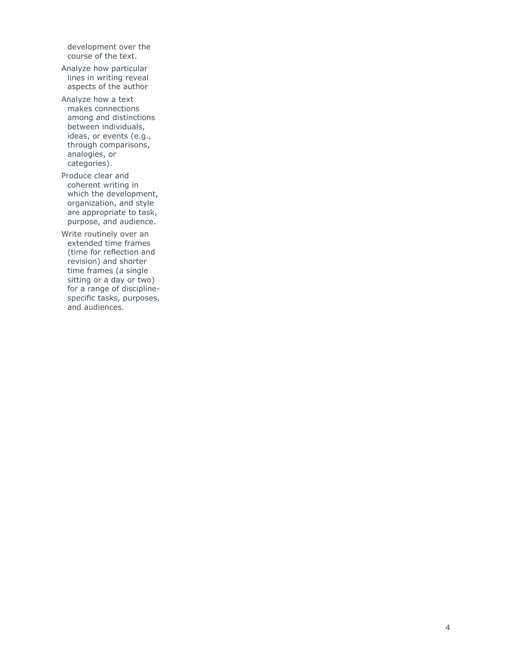development over the course of the text.

Analyze how particular lines in writing reveal aspects of the author

Analyze how a text makes connections among and distinctions between individuals, ideas, or events (e.g., through comparisons, analogies, or categories).

Produce clear and coherent writing in which t he development, organization, and style are appropriate to task, purpose, and audience.

Write routinely over an extended time frames (time for reflection and revision) and shorter time frames (a single sitting or a day or two) for a range of discipline specific tasks, purposes, and audiences.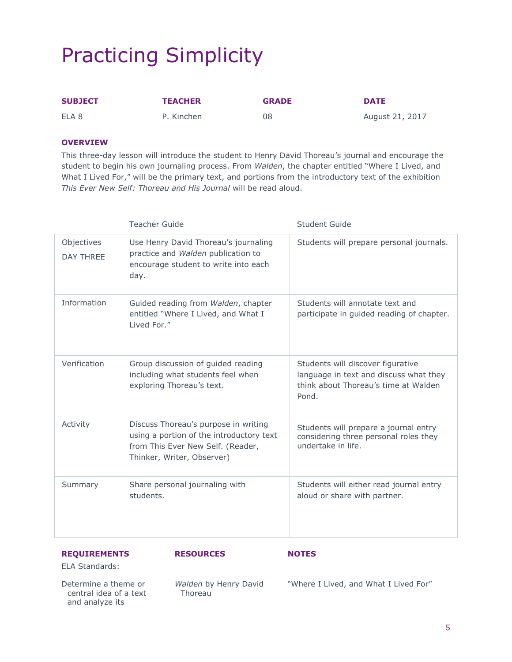# Practicing Simplicity

| <b>SUBJECT</b> | <b>TEACHER</b> | <b>GRADE</b> | <b>DATE</b>     |
|----------------|----------------|--------------|-----------------|
| ELA 8          | P. Kinchen     | 08           | August 21, 2017 |

### **OVERVIEW**

This three-day lesson will introduce the student to Henry David Thoreau's journal and encourage the student to begin his own journaling process. From *Walden*, the chapter entitled "Where I Lived, and What I Lived For," will be the primary text, and portions from the introductory text of the exhibition *This Ever New Self: Thoreau and His Journal* will be read aloud.

|                                | <b>Teacher Guide</b>                                                                                                                                | <b>Student Guide</b>                                                                                                         |
|--------------------------------|-----------------------------------------------------------------------------------------------------------------------------------------------------|------------------------------------------------------------------------------------------------------------------------------|
| Objectives<br><b>DAY THREE</b> | Use Henry David Thoreau's journaling<br>practice and Walden publication to<br>encourage student to write into each<br>day.                          | Students will prepare personal journals.                                                                                     |
| Information                    | Guided reading from Walden, chapter<br>entitled "Where I Lived, and What I<br>Lived For."                                                           | Students will annotate text and<br>participate in guided reading of chapter.                                                 |
| Verification                   | Group discussion of guided reading<br>including what students feel when<br>exploring Thoreau's text.                                                | Students will discover figurative<br>language in text and discuss what they<br>think about Thoreau's time at Walden<br>Pond. |
| Activity                       | Discuss Thoreau's purpose in writing<br>using a portion of the introductory text<br>from This Ever New Self. (Reader,<br>Thinker, Writer, Observer) | Students will prepare a journal entry<br>considering three personal roles they<br>undertake in life.                         |
| Summary                        | Share personal journaling with<br>students.                                                                                                         | Students will either read journal entry<br>aloud or share with partner.                                                      |

#### **REQUIREMENTS**

ELA Standards:

Determine a theme or central idea of a text and analyze its

*Walden* by Henry David Thoreau

**RESOURCES NOTES**

"Where I Lived, and What I Lived For"